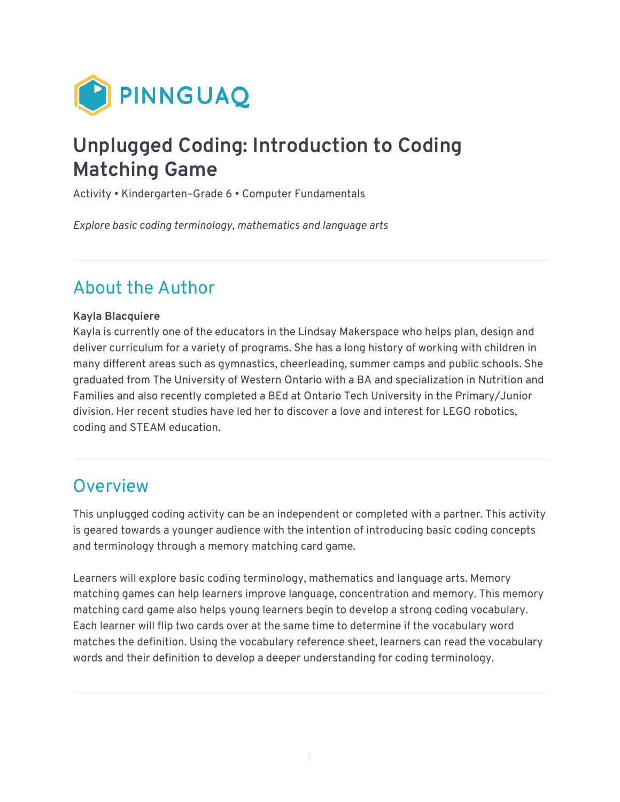

# **Unplugged Coding: Introduction to Coding Matching Game**

Activity • Kindergarten–Grade 6 • Computer Fundamentals

*Explore basic coding terminology, mathematics and language arts* 

### About the Author

#### **Kayla Blacquiere**

Kayla is currently one of the educators in the Lindsay Makerspace who helps plan, design and deliver curriculum for a variety of programs. She has a long history of working with children in many different areas such as gymnastics, cheerleading, summer camps and public schools. She graduated from The University of Western Ontario with a BA and specialization in Nutrition and Families and also recently completed a BEd at Ontario Tech University in the Primary/Junior division. Her recent studies have led her to discover a love and interest for LEGO robotics, coding and STEAM education.

#### **Overview**

This unplugged coding activity can be an independent or completed with a partner. This activity is geared towards a younger audience with the intention of introducing basic coding concepts and terminology through a memory matching card game.

Learners will explore basic coding terminology, mathematics and language arts. Memory matching games can help learners improve language, concentration and memory. This memory matching card game also helps young learners begin to develop a strong coding vocabulary. Each learner will flip two cards over at the same time to determine if the vocabulary word matches the definition. Using the vocabulary reference sheet, learners can read the vocabulary words and their definition to develop a deeper understanding for coding terminology.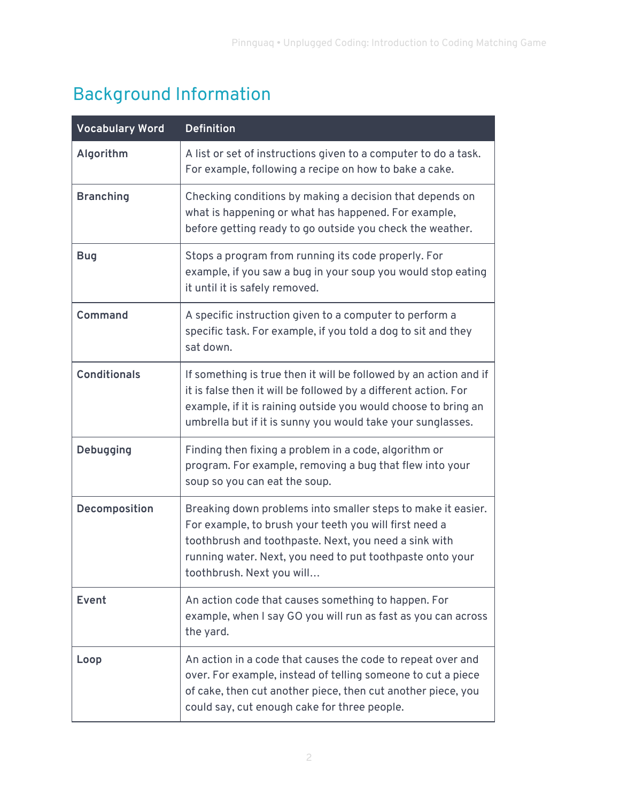# Background Information

| <b>Vocabulary Word</b> | <b>Definition</b>                                                                                                                                                                                                                                                         |
|------------------------|---------------------------------------------------------------------------------------------------------------------------------------------------------------------------------------------------------------------------------------------------------------------------|
| Algorithm              | A list or set of instructions given to a computer to do a task.<br>For example, following a recipe on how to bake a cake.                                                                                                                                                 |
| <b>Branching</b>       | Checking conditions by making a decision that depends on<br>what is happening or what has happened. For example,<br>before getting ready to go outside you check the weather.                                                                                             |
| <b>Bug</b>             | Stops a program from running its code properly. For<br>example, if you saw a bug in your soup you would stop eating<br>it until it is safely removed.                                                                                                                     |
| <b>Command</b>         | A specific instruction given to a computer to perform a<br>specific task. For example, if you told a dog to sit and they<br>sat down.                                                                                                                                     |
| <b>Conditionals</b>    | If something is true then it will be followed by an action and if<br>it is false then it will be followed by a different action. For<br>example, if it is raining outside you would choose to bring an<br>umbrella but if it is sunny you would take your sunglasses.     |
| Debugging              | Finding then fixing a problem in a code, algorithm or<br>program. For example, removing a bug that flew into your<br>soup so you can eat the soup.                                                                                                                        |
| Decomposition          | Breaking down problems into smaller steps to make it easier.<br>For example, to brush your teeth you will first need a<br>toothbrush and toothpaste. Next, you need a sink with<br>running water. Next, you need to put toothpaste onto your<br>toothbrush. Next you will |
| Event                  | An action code that causes something to happen. For<br>example, when I say GO you will run as fast as you can across<br>the yard.                                                                                                                                         |
| Loop                   | An action in a code that causes the code to repeat over and<br>over. For example, instead of telling someone to cut a piece<br>of cake, then cut another piece, then cut another piece, you<br>could say, cut enough cake for three people.                               |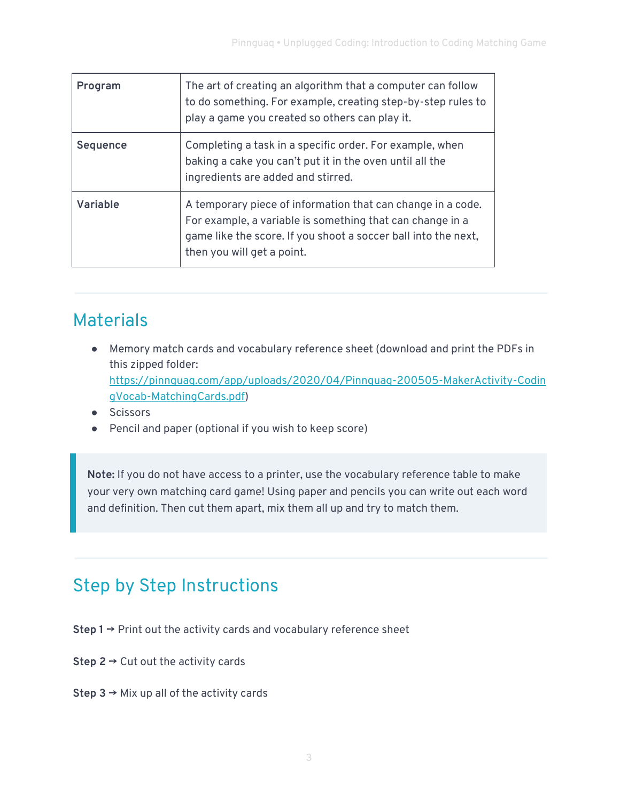| Program         | The art of creating an algorithm that a computer can follow<br>to do something. For example, creating step-by-step rules to<br>play a game you created so others can play it.                                            |
|-----------------|--------------------------------------------------------------------------------------------------------------------------------------------------------------------------------------------------------------------------|
| <b>Sequence</b> | Completing a task in a specific order. For example, when<br>baking a cake you can't put it in the oven until all the<br>ingredients are added and stirred.                                                               |
| <b>Variable</b> | A temporary piece of information that can change in a code.<br>For example, a variable is something that can change in a<br>game like the score. If you shoot a soccer ball into the next,<br>then you will get a point. |

## Materials

- Memory match cards and vocabulary reference sheet (download and print the PDFs in this zipped folder: [https://pinnguaq.com/app/uploads/2020/04/Pinnguaq-200505-MakerActivity-Codin](https://pinnguaq.com/app/uploads/2020/04/Pinnguaq-200505-MakerActivity-CodingVocab-MatchingCards.pdf) [gVocab-MatchingCards.pdf\)](https://pinnguaq.com/app/uploads/2020/04/Pinnguaq-200505-MakerActivity-CodingVocab-MatchingCards.pdf)
- Scissors
- Pencil and paper (optional if you wish to keep score)

**Note:** If you do not have access to a printer, use the vocabulary reference table to make your very own matching card game! Using paper and pencils you can write out each word and definition. Then cut them apart, mix them all up and try to match them.

# Step by Step Instructions

- **Step 1 →** Print out the activity cards and vocabulary reference sheet
- **Step 2 →** Cut out the activity cards
- **Step 3 →** Mix up all of the activity cards